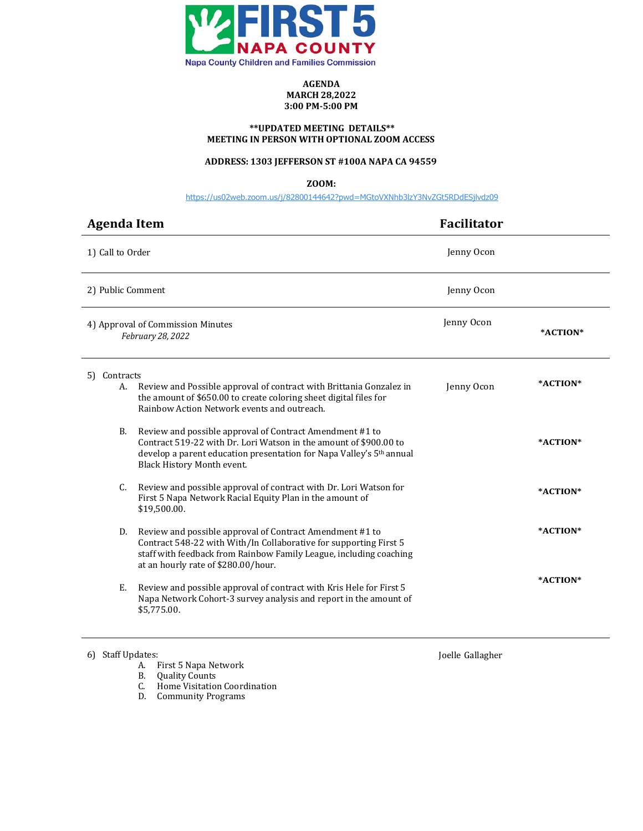

### **AGENDA MARCH 28,2022 3:00 PM-5:00 PM**

### **\*\*UPDATED MEETING DETAILS\*\* MEETING IN PERSON WITH OPTIONAL ZOOM ACCESS**

# **ADDRESS: 1303 JEFFERSON ST #100A NAPA CA 94559**

**ZOOM:**

<https://us02web.zoom.us/j/82800144642?pwd=MGtoVXNhb3lzY3NvZGt5RDdESjlvdz09>

| <b>Agenda Item</b>                                                                                                                     |                                                                                                                                                       | <b>Facilitator</b> |          |
|----------------------------------------------------------------------------------------------------------------------------------------|-------------------------------------------------------------------------------------------------------------------------------------------------------|--------------------|----------|
| 1) Call to Order                                                                                                                       |                                                                                                                                                       | Jenny Ocon         |          |
| 2) Public Comment                                                                                                                      |                                                                                                                                                       | Jenny Ocon         |          |
| 4) Approval of Commission Minutes<br>February 28, 2022                                                                                 |                                                                                                                                                       | Jenny Ocon         | *ACTION* |
| 5) Contracts<br>А.<br>the amount of \$650.00 to create coloring sheet digital files for<br>Rainbow Action Network events and outreach. | Review and Possible approval of contract with Brittania Gonzalez in                                                                                   | Jenny Ocon         | *ACTION* |
| <b>B.</b><br>Review and possible approval of Contract Amendment #1 to<br>Black History Month event.                                    | Contract 519-22 with Dr. Lori Watson in the amount of \$900.00 to<br>develop a parent education presentation for Napa Valley's 5 <sup>th</sup> annual |                    | *ACTION* |
| C.<br>First 5 Napa Network Racial Equity Plan in the amount of<br>\$19,500.00.                                                         | Review and possible approval of contract with Dr. Lori Watson for                                                                                     |                    | *ACTION* |
| Review and possible approval of Contract Amendment #1 to<br>D.<br>at an hourly rate of \$280.00/hour.                                  | Contract 548-22 with With/In Collaborative for supporting First 5<br>staff with feedback from Rainbow Family League, including coaching               |                    | *ACTION* |
| E.<br>\$5,775.00.                                                                                                                      | Review and possible approval of contract with Kris Hele for First 5<br>Napa Network Cohort-3 survey analysis and report in the amount of              |                    | *ACTION* |
|                                                                                                                                        |                                                                                                                                                       |                    |          |

6) Staff Updates:

A. First 5 Napa Network

B. Quality Counts

C. Home Visitation Coordination

D. Community Programs

Joelle Gallagher